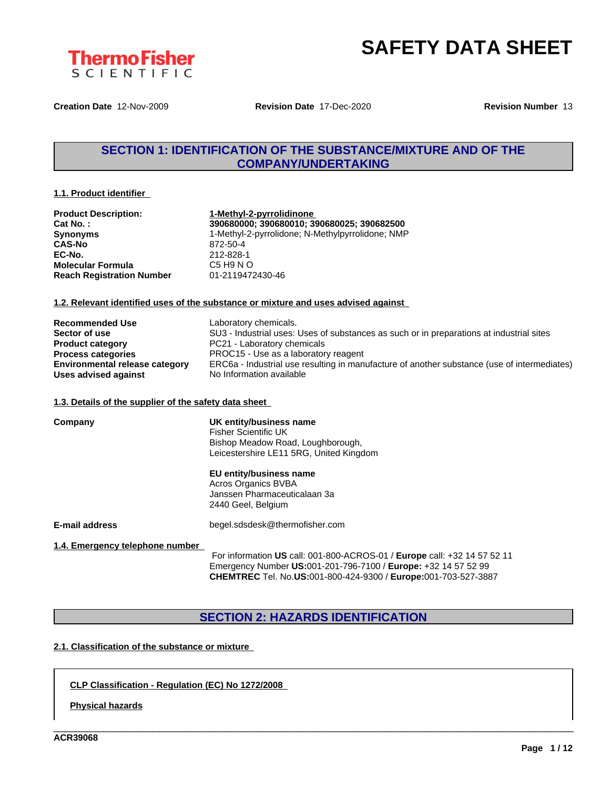

**Creation Date** 12-Nov-2009 **Revision Date** 17-Dec-2020 **Revision Number** 13

### **SECTION 1: IDENTIFICATION OF THE SUBSTANCE/MIXTURE AND OF THE COMPANY/UNDERTAKING**

#### **1.1. Product identifier**

| <b>Product Description:</b>      | 1-Methyl-2-pyrrolidinone                         |
|----------------------------------|--------------------------------------------------|
| Cat No.:                         | 390680000; 390680010; 390680025; 390682500       |
| <b>Synonyms</b>                  | 1-Methyl-2-pyrrolidone; N-Methylpyrrolidone; NMP |
| <b>CAS-No</b>                    | 872-50-4                                         |
| EC-No.                           | 212-828-1                                        |
| <b>Molecular Formula</b>         | C5 H9 N O                                        |
| <b>Reach Registration Number</b> | 01-2119472430-46                                 |

#### **1.2. Relevant identified uses of the substance or mixture and uses advised against**

| <b>Recommended Use</b>                | Laboratory chemicals.                                                                       |
|---------------------------------------|---------------------------------------------------------------------------------------------|
| Sector of use                         | SU3 - Industrial uses: Uses of substances as such or in preparations at industrial sites    |
| <b>Product category</b>               | PC21 - Laboratory chemicals                                                                 |
| <b>Process categories</b>             | PROC15 - Use as a laboratory reagent                                                        |
| <b>Environmental release category</b> | ERC6a - Industrial use resulting in manufacture of another substance (use of intermediates) |
| Uses advised against                  | No Information available                                                                    |

#### **1.3. Details of the supplier of the safety data sheet**

| Company                         | UK entity/business name<br><b>Fisher Scientific UK</b><br>Bishop Meadow Road, Loughborough,<br>Leicestershire LE11 5RG, United Kingdom     |
|---------------------------------|--------------------------------------------------------------------------------------------------------------------------------------------|
|                                 | EU entity/business name<br><b>Acros Organics BVBA</b><br>Janssen Pharmaceuticalaan 3a<br>2440 Geel, Belgium                                |
| E-mail address                  | begel.sdsdesk@thermofisher.com                                                                                                             |
| 1.4. Emergency telephone number | For information US call: 001-800-ACROS-01 / Europe call: +32 14 57 52 11<br>Emergency Number US:001-201-796-7100 / Europe: +32 14 57 52 99 |

**SECTION 2: HAZARDS IDENTIFICATION**

**CHEMTREC** Tel. No.**US:**001-800-424-9300 / **Europe:**001-703-527-3887

\_\_\_\_\_\_\_\_\_\_\_\_\_\_\_\_\_\_\_\_\_\_\_\_\_\_\_\_\_\_\_\_\_\_\_\_\_\_\_\_\_\_\_\_\_\_\_\_\_\_\_\_\_\_\_\_\_\_\_\_\_\_\_\_\_\_\_\_\_\_\_\_\_\_\_\_\_\_\_\_\_\_\_\_\_\_\_\_\_\_\_\_\_\_

### **2.1. Classification of the substance or mixture**

### **CLP Classification - Regulation (EC) No 1272/2008**

**Physical hazards**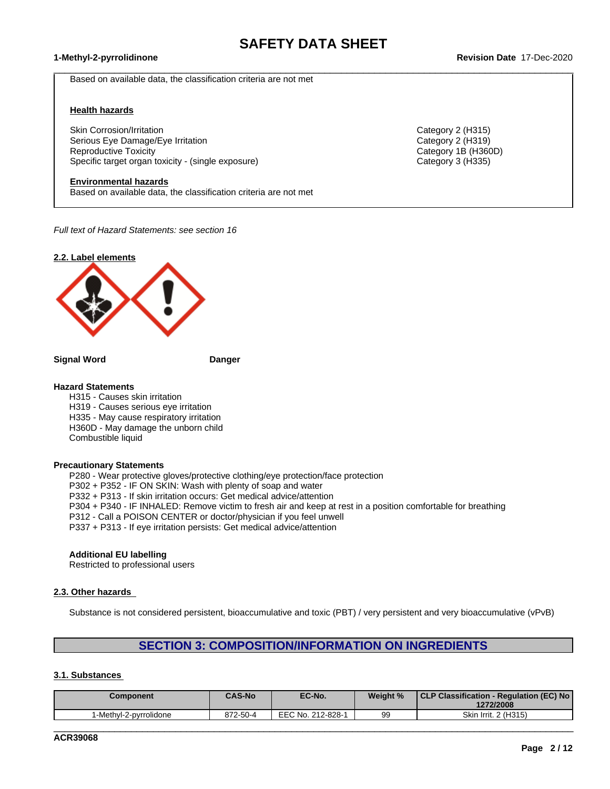$\_$  ,  $\_$  ,  $\_$  ,  $\_$  ,  $\_$  ,  $\_$  ,  $\_$  ,  $\_$  ,  $\_$  ,  $\_$  ,  $\_$  ,  $\_$  ,  $\_$  ,  $\_$  ,  $\_$  ,  $\_$  ,  $\_$  ,  $\_$  ,  $\_$  ,  $\_$  ,  $\_$  ,  $\_$  ,  $\_$  ,  $\_$  ,  $\_$  ,  $\_$  ,  $\_$  ,  $\_$  ,  $\_$  ,  $\_$  ,  $\_$  ,  $\_$  ,  $\_$  ,  $\_$  ,  $\_$  ,  $\_$  ,  $\_$  ,

Based on available data, the classification criteria are not met

#### **Health hazards**

Skin Corrosion/Irritation **Category 2 (H315)** Category 2 (H315) Serious Eye Damage/Eye Irritation Category 2 (H319) Reproductive Toxicity Category 1B (H360D) Specific target organ toxicity - (single exposure) Category 3 (H335) Category 3 (H335)

### **Environmental hazards**

Based on available data, the classification criteria are not met

*Full text of Hazard Statements: see section 16*



**Signal Word Danger**

#### **Hazard Statements**

H315 - Causes skin irritation H319 - Causes serious eye irritation H335 - May cause respiratory irritation H360D - May damage the unborn child Combustible liquid

#### **Precautionary Statements**

P280 - Wear protective gloves/protective clothing/eye protection/face protection P302 + P352 - IF ON SKIN: Wash with plenty of soap and water P332 + P313 - If skin irritation occurs: Get medical advice/attention P304 + P340 - IF INHALED: Remove victim to fresh air and keep atrest in a position comfortable for breathing P312 - Call a POISON CENTER or doctor/physician if you feel unwell P337 + P313 - If eye irritation persists: Get medical advice/attention

#### **Additional EU labelling**

Restricted to professional users

### **2.3. Other hazards**

Substance is not considered persistent, bioaccumulative and toxic (PBT) / very persistent and very bioaccumulative (vPvB)

### **SECTION 3: COMPOSITION/INFORMATION ON INGREDIENTS**

#### **3.1. Substances**

| Component             | <b>CAS-No</b> | EC-No.            | Weight % | CLP Classification - Regulation (EC) No<br>1272/2008 |
|-----------------------|---------------|-------------------|----------|------------------------------------------------------|
| -Methyl-2-pyrrolidone | 872-50-4      | EEC No. 212-828-1 | 99       | Skin Irrit. 2 (H315)                                 |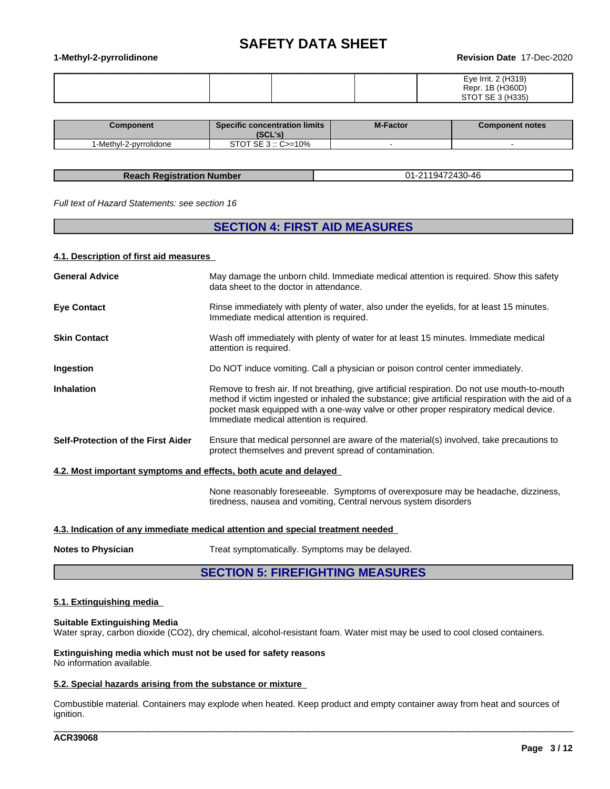#### **1-Methyl-2-pyrrolidinone Revision Date** 17-Dec-2020

|  | Eye Irrit. 2 (H319)                         |
|--|---------------------------------------------|
|  | (1980)<br>Repr.<br>$\overline{A}$<br>7.30UL |
|  | $CTOT$ $CFT$ $2$ $(11225)$                  |

| Component              | <b>Specific concentration limits</b><br>ומי ומא<br>1962 SI | <b>M-Factor</b> | <b>Component notes</b> |
|------------------------|------------------------------------------------------------|-----------------|------------------------|
| 1-Methvl-2-pvrrolidone | STOT SE $3::C = 10\%$                                      |                 |                        |

#### **Reach Registration Number** 01-2119472430-46

*Full text of Hazard Statements: see section 16*

### **SECTION 4: FIRST AID MEASURES**

#### **4.1. Description of first aid measures**

| <b>General Advice</b>                                            | May damage the unborn child. Immediate medical attention is required. Show this safety<br>data sheet to the doctor in attendance.                                                                                                                                                                                                       |
|------------------------------------------------------------------|-----------------------------------------------------------------------------------------------------------------------------------------------------------------------------------------------------------------------------------------------------------------------------------------------------------------------------------------|
| <b>Eye Contact</b>                                               | Rinse immediately with plenty of water, also under the eyelids, for at least 15 minutes.<br>Immediate medical attention is required.                                                                                                                                                                                                    |
| <b>Skin Contact</b>                                              | Wash off immediately with plenty of water for at least 15 minutes. Immediate medical<br>attention is required.                                                                                                                                                                                                                          |
| Ingestion                                                        | Do NOT induce vomiting. Call a physician or poison control center immediately.                                                                                                                                                                                                                                                          |
| <b>Inhalation</b>                                                | Remove to fresh air. If not breathing, give artificial respiration. Do not use mouth-to-mouth<br>method if victim ingested or inhaled the substance; give artificial respiration with the aid of a<br>pocket mask equipped with a one-way valve or other proper respiratory medical device.<br>Immediate medical attention is required. |
| Self-Protection of the First Aider                               | Ensure that medical personnel are aware of the material(s) involved, take precautions to<br>protect themselves and prevent spread of contamination.                                                                                                                                                                                     |
| 4.2. Most important symptoms and effects, both acute and delayed |                                                                                                                                                                                                                                                                                                                                         |
|                                                                  | None reasonably foreseeable. Symptoms of overexposure may be headache, dizziness,<br>tiredness, nausea and vomiting, Central nervous system disorders                                                                                                                                                                                   |

#### **4.3. Indication of any immediate medical attention and special treatment needed**

**Notes to Physician** Treat symptomatically. Symptoms may be delayed.

### **SECTION 5: FIREFIGHTING MEASURES**

### **5.1. Extinguishing media**

#### **Suitable Extinguishing Media**

Water spray, carbon dioxide (CO2), dry chemical, alcohol-resistant foam. Water mist may be used to cool closed containers.

**Extinguishing media which must not be used for safety reasons** No information available.

#### **5.2. Special hazards arising from the substance or mixture**

Combustible material. Containers may explode when heated. Keep product and empty container away from heat and sources of ignition.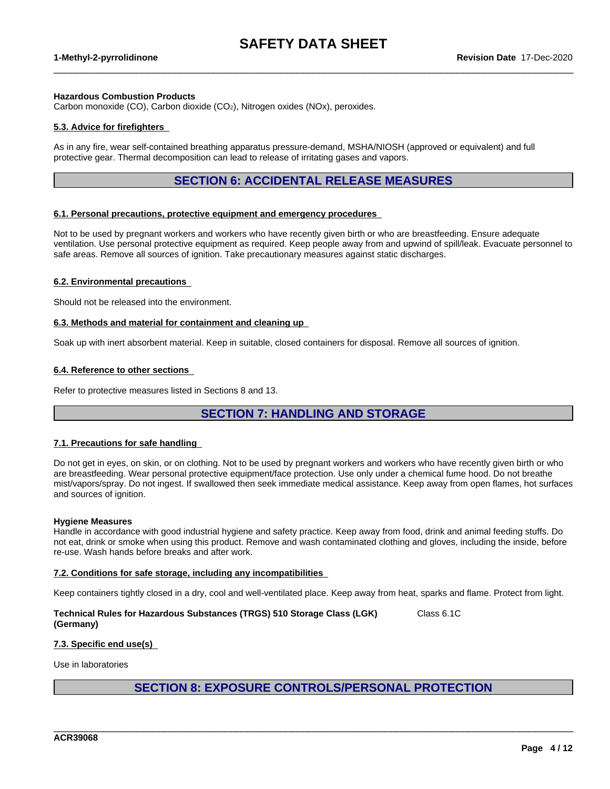$\_$  ,  $\_$  ,  $\_$  ,  $\_$  ,  $\_$  ,  $\_$  ,  $\_$  ,  $\_$  ,  $\_$  ,  $\_$  ,  $\_$  ,  $\_$  ,  $\_$  ,  $\_$  ,  $\_$  ,  $\_$  ,  $\_$  ,  $\_$  ,  $\_$  ,  $\_$  ,  $\_$  ,  $\_$  ,  $\_$  ,  $\_$  ,  $\_$  ,  $\_$  ,  $\_$  ,  $\_$  ,  $\_$  ,  $\_$  ,  $\_$  ,  $\_$  ,  $\_$  ,  $\_$  ,  $\_$  ,  $\_$  ,  $\_$  ,

#### **Hazardous Combustion Products**

Carbon monoxide (CO), Carbon dioxide (CO2), Nitrogen oxides (NOx), peroxides.

#### **5.3. Advice for firefighters**

As in any fire, wear self-contained breathing apparatus pressure-demand, MSHA/NIOSH (approved or equivalent) and full protective gear. Thermal decomposition can lead to release of irritating gases and vapors.

### **SECTION 6: ACCIDENTAL RELEASE MEASURES**

#### **6.1. Personal precautions, protective equipment and emergency procedures**

Not to be used by pregnant workers and workers who have recently given birth or who are breastfeeding. Ensure adequate ventilation. Use personal protective equipment as required.Keep people away from and upwind of spill/leak. Evacuate personnel to safe areas. Remove all sources of ignition. Take precautionary measures against static discharges.

#### **6.2. Environmental precautions**

Should not be released into the environment.

#### **6.3. Methods and material for containment and cleaning up**

Soak up with inert absorbent material. Keep in suitable, closed containers for disposal. Remove all sources of ignition.

#### **6.4. Reference to other sections**

Refer to protective measures listed in Sections 8 and 13.

### **SECTION 7: HANDLING AND STORAGE**

### **7.1. Precautions for safe handling**

Do not get in eyes, on skin, or on clothing. Not to be used by pregnant workers and workers who have recently given birth or who are breastfeeding. Wear personal protective equipment/face protection. Use only under a chemical fume hood. Do not breathe mist/vapors/spray. Do not ingest. If swallowed then seek immediate medical assistance. Keep away from open flames, hot surfaces and sources of ignition.

#### **Hygiene Measures**

Handle in accordance with good industrial hygiene and safety practice. Keep away from food, drink and animal feeding stuffs. Do not eat, drink or smoke when using this product. Remove and wash contaminated clothing and gloves, including the inside, before re-use. Wash hands before breaks and after work.

#### **7.2. Conditions for safe storage, including any incompatibilities**

Keep containers tightly closed in a dry, cool and well-ventilated place. Keep away from heat, sparks and flame. Protect from light.

**Technical Rules for Hazardous Substances (TRGS) 510 Storage Class (LGK) (Germany)** Class 6.1C

#### **7.3. Specific end use(s)**

Use in laboratories

### **SECTION 8: EXPOSURE CONTROLS/PERSONAL PROTECTION**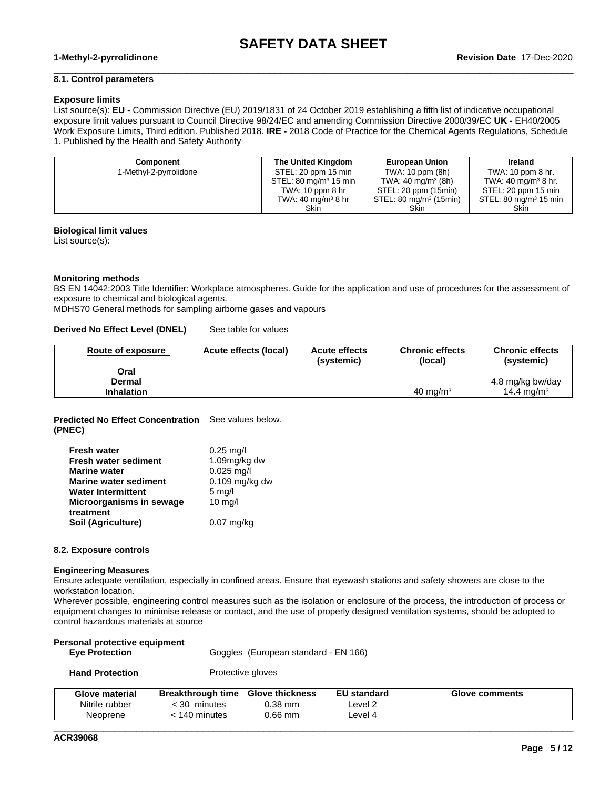$\_$  ,  $\_$  ,  $\_$  ,  $\_$  ,  $\_$  ,  $\_$  ,  $\_$  ,  $\_$  ,  $\_$  ,  $\_$  ,  $\_$  ,  $\_$  ,  $\_$  ,  $\_$  ,  $\_$  ,  $\_$  ,  $\_$  ,  $\_$  ,  $\_$  ,  $\_$  ,  $\_$  ,  $\_$  ,  $\_$  ,  $\_$  ,  $\_$  ,  $\_$  ,  $\_$  ,  $\_$  ,  $\_$  ,  $\_$  ,  $\_$  ,  $\_$  ,  $\_$  ,  $\_$  ,  $\_$  ,  $\_$  ,  $\_$  ,

#### **8.1. Control parameters**

#### **Exposure limits**

List source(s): **EU** - Commission Directive (EU) 2019/1831 of 24 October 2019 establishing a fifth list ofindicative occupational exposure limit values pursuant to Council Directive 98/24/EC and amending Commission Directive 2000/39/EC UK - EH40/2005 Work Exposure Limits, Third edition. Published 2018. **IRE -** 2018 Code of Practice for the Chemical Agents Regulations, Schedule 1. Published by the Health and Safety Authority

| Component              | The United Kingdom               | <b>European Union</b>             | <b>Ireland</b>                   |
|------------------------|----------------------------------|-----------------------------------|----------------------------------|
| 1-Methyl-2-pyrrolidone | STEL: 20 ppm 15 min              | TWA: 10 ppm (8h)                  | TWA: 10 ppm 8 hr.                |
|                        | STEL: $80 \text{ mg/m}^3$ 15 min | TWA: 40 mg/m <sup>3</sup> (8h)    | TWA: 40 mg/m <sup>3</sup> 8 hr.  |
|                        | TWA: $10$ ppm $8$ hr             | STEL: 20 ppm (15min)              | STEL: 20 ppm 15 min              |
|                        | TWA: 40 mg/m <sup>3</sup> 8 hr   | STEL: $80 \text{ mg/m}^3$ (15min) | STEL: $80 \text{ mg/m}^3$ 15 min |
|                        | <b>Skin</b>                      | Skin                              | Skin                             |

#### **Biological limit values**

List source(s):

#### **Monitoring methods**

BS EN 14042:2003 Title Identifier: Workplace atmospheres. Guide for the application and use of procedures for the assessment of exposure to chemical and biological agents.

MDHS70 General methods for sampling airborne gases and vapours

**Derived No Effect Level (DNEL)** See table for values

| Route of exposure | Acute effects (local) | <b>Acute effects</b><br>(systemic) | <b>Chronic effects</b><br>(local) | <b>Chronic effects</b><br>(systemic) |
|-------------------|-----------------------|------------------------------------|-----------------------------------|--------------------------------------|
| Oral              |                       |                                    |                                   |                                      |
| Dermal            |                       |                                    |                                   | 4.8 mg/kg bw/day                     |
| <b>Inhalation</b> |                       |                                    | $40 \text{ ma/m}^3$               | 14.4 mg/m <sup>3</sup>               |

**Predicted No Effect Concentration** See values below. **(PNEC)**

| <b>Fresh water</b>           | $0.25 \text{ mg/l}$ |
|------------------------------|---------------------|
| <b>Fresh water sediment</b>  | 1.09mg/kg dw        |
| <b>Marine water</b>          | $0.025$ mg/l        |
| <b>Marine water sediment</b> | $0.109$ mg/kg dw    |
| <b>Water Intermittent</b>    | $5 \text{ mg/l}$    |
| Microorganisms in sewage     | $10$ mg/l           |
| treatment                    |                     |
| Soil (Agriculture)           | $0.07$ mg/kg        |

#### **8.2. Exposure controls**

#### **Engineering Measures**

Ensure adequate ventilation, especially in confined areas. Ensure that eyewash stations and safety showers are close to the workstation location.

Wherever possible, engineering control measures such as the isolation or enclosure of the process, the introduction of process or equipment changes to minimise release or contact, and the use of properly designed ventilation systems, should be adopted to control hazardous materials at source

| Personal protective equipment<br><b>Eve Protection</b> | Goggles (European standard - EN 166) |
|--------------------------------------------------------|--------------------------------------|
| <b>Hand Protection</b>                                 | Protective gloves                    |

| Glove material<br>Nitrile rubber | <b>Breakthrough time</b><br>: 30 minutes<br>. 140 minutes | <b>Glove thickness</b><br>$0.38$ mm<br>$0.66$ mm | <b>EU</b> standard<br>Level 2<br>∟evel 4 | Glove comments |  |
|----------------------------------|-----------------------------------------------------------|--------------------------------------------------|------------------------------------------|----------------|--|
| Neoprene                         |                                                           |                                                  |                                          |                |  |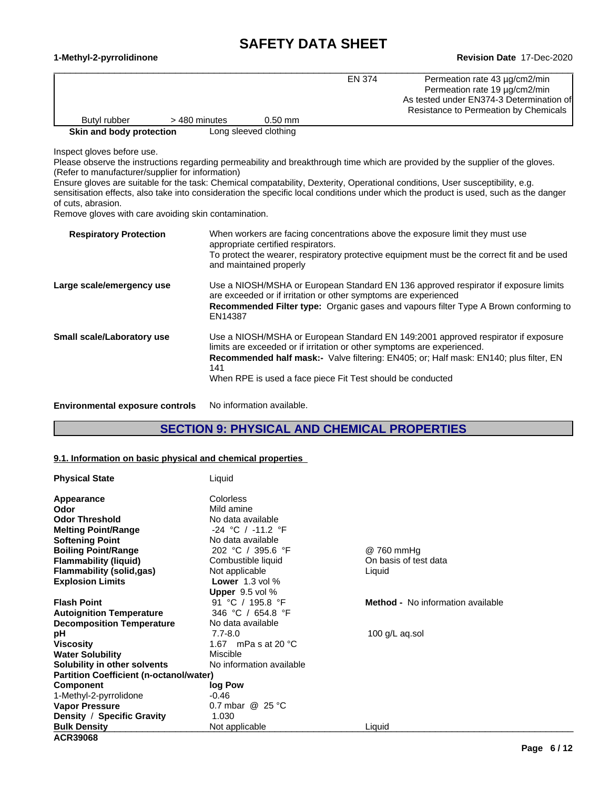#### **1-Methyl-2-pyrrolidinone Revision Date** 17-Dec-2020

 $\_$  ,  $\_$  ,  $\_$  ,  $\_$  ,  $\_$  ,  $\_$  ,  $\_$  ,  $\_$  ,  $\_$  ,  $\_$  ,  $\_$  ,  $\_$  ,  $\_$  ,  $\_$  ,  $\_$  ,  $\_$  ,  $\_$  ,  $\_$  ,  $\_$  ,  $\_$  ,  $\_$  ,  $\_$  ,  $\_$  ,  $\_$  ,  $\_$  ,  $\_$  ,  $\_$  ,  $\_$  ,  $\_$  ,  $\_$  ,  $\_$  ,  $\_$  ,  $\_$  ,  $\_$  ,  $\_$  ,  $\_$  ,  $\_$  , **Skin and body protection** Long sleeved clothing EN 374 Permeation rate 43 µg/cm2/min Permeation rate 19 µg/cm2/min As tested under EN374-3 Determination of Resistance to Permeation by Chemicals Butyl rubber > 480 minutes 0.50 mm

Inspect gloves before use.

Please observe the instructions regarding permeability and breakthrough time which are provided by the supplier of the gloves. (Refer to manufacturer/supplier for information)

Ensure gloves are suitable for the task: Chemical compatability, Dexterity, Operational conditions, User susceptibility, e.g. sensitisation effects, also take into consideration the specific local conditions under which the product is used, such as the danger of cuts, abrasion.

Remove gloves with care avoiding skin contamination.

| <b>Respiratory Protection</b> | When workers are facing concentrations above the exposure limit they must use<br>appropriate certified respirators.<br>To protect the wearer, respiratory protective equipment must be the correct fit and be used<br>and maintained properly                                                                                     |
|-------------------------------|-----------------------------------------------------------------------------------------------------------------------------------------------------------------------------------------------------------------------------------------------------------------------------------------------------------------------------------|
| Large scale/emergency use     | Use a NIOSH/MSHA or European Standard EN 136 approved respirator if exposure limits<br>are exceeded or if irritation or other symptoms are experienced<br><b>Recommended Filter type:</b> Organic gases and vapours filter Type A Brown conforming to<br>EN14387                                                                  |
| Small scale/Laboratory use    | Use a NIOSH/MSHA or European Standard EN 149:2001 approved respirator if exposure<br>limits are exceeded or if irritation or other symptoms are experienced.<br><b>Recommended half mask:-</b> Valve filtering: EN405; or; Half mask: EN140; plus filter, EN<br>141<br>When RPE is used a face piece Fit Test should be conducted |
|                               |                                                                                                                                                                                                                                                                                                                                   |

**Environmental exposure controls** No information available.

### **SECTION 9: PHYSICAL AND CHEMICAL PROPERTIES**

#### **9.1. Information on basic physical and chemical properties**

| <b>Physical State</b>                          | Liquid                        |                                          |  |
|------------------------------------------------|-------------------------------|------------------------------------------|--|
| Appearance                                     | <b>Colorless</b>              |                                          |  |
| Odor                                           | Mild amine                    |                                          |  |
| <b>Odor Threshold</b>                          | No data available             |                                          |  |
| <b>Melting Point/Range</b>                     | $-24$ °C / $-11.2$ °F         |                                          |  |
| <b>Softening Point</b>                         | No data available             |                                          |  |
| <b>Boiling Point/Range</b>                     | 202 °C / 395.6 °F             | @ 760 mmHg                               |  |
| <b>Flammability (liquid)</b>                   | Combustible liquid            | On basis of test data                    |  |
| <b>Flammability (solid,gas)</b>                | Not applicable                | Liquid                                   |  |
| <b>Explosion Limits</b>                        | <b>Lower</b> $1.3$ vol $%$    |                                          |  |
|                                                | <b>Upper</b> $9.5$ vol $%$    |                                          |  |
| <b>Flash Point</b>                             | 91 °C / 195.8 °F              | <b>Method -</b> No information available |  |
| <b>Autoignition Temperature</b>                | 346 °C / 654.8 °F             |                                          |  |
| <b>Decomposition Temperature</b>               | No data available             |                                          |  |
| рH                                             | $7.7 - 8.0$                   | 100 g/L aq.sol                           |  |
| <b>Viscosity</b>                               | 1.67 mPa s at 20 $^{\circ}$ C |                                          |  |
| <b>Water Solubility</b>                        | Miscible                      |                                          |  |
| Solubility in other solvents                   | No information available      |                                          |  |
| <b>Partition Coefficient (n-octanol/water)</b> |                               |                                          |  |
| <b>Component</b>                               | log Pow                       |                                          |  |
| 1-Methyl-2-pyrrolidone                         | $-0.46$                       |                                          |  |
| <b>Vapor Pressure</b>                          | 0.7 mbar $@$ 25 °C            |                                          |  |
| Density / Specific Gravity                     | 1.030                         |                                          |  |
| <b>Bulk Density</b>                            | Not applicable                | Liquid                                   |  |
| <b>ACR39068</b>                                |                               |                                          |  |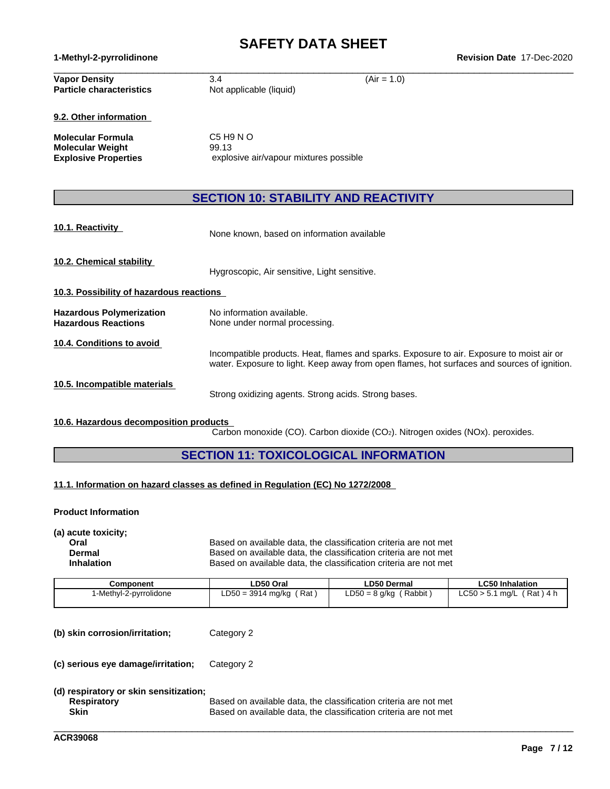**1-Methyl-2-pyrrolidinone Revision Date** 17-Dec-2020

| <b>Vapor Density</b><br><b>Particle characteristics</b>              | $(Air = 1.0)$<br>3.4<br>Not applicable (liquid)                                                                                                                                          |
|----------------------------------------------------------------------|------------------------------------------------------------------------------------------------------------------------------------------------------------------------------------------|
| 9.2. Other information                                               |                                                                                                                                                                                          |
| Molecular Formula<br>Molecular Weight<br><b>Explosive Properties</b> | $C5$ H <sub>9</sub> N O<br>99.13<br>explosive air/vapour mixtures possible                                                                                                               |
|                                                                      | <b>SECTION 10: STABILITY AND REACTIVITY</b>                                                                                                                                              |
| 10.1. Reactivity                                                     | None known, based on information available                                                                                                                                               |
| 10.2. Chemical stability                                             | Hygroscopic, Air sensitive, Light sensitive.                                                                                                                                             |
| 10.3. Possibility of hazardous reactions                             |                                                                                                                                                                                          |
| <b>Hazardous Polymerization</b><br><b>Hazardous Reactions</b>        | No information available.<br>None under normal processing.                                                                                                                               |
| 10.4. Conditions to avoid                                            | Incompatible products. Heat, flames and sparks. Exposure to air. Exposure to moist air or<br>water. Exposure to light. Keep away from open flames, hot surfaces and sources of ignition. |
| 10.5. Incompatible materials                                         | Strong oxidizing agents. Strong acids. Strong bases.                                                                                                                                     |

### **10.6. Hazardous decomposition products**

 $\overline{\text{Carbon}}$  monoxide (CO). Carbon dioxide (CO<sub>2</sub>). Nitrogen oxides (NOx). peroxides.

\_\_\_\_\_\_\_\_\_\_\_\_\_\_\_\_\_\_\_\_\_\_\_\_\_\_\_\_\_\_\_\_\_\_\_\_\_\_\_\_\_\_\_\_\_\_\_\_\_\_\_\_\_\_\_\_\_\_\_\_\_\_\_\_\_\_\_\_\_\_\_\_\_\_\_\_\_\_\_\_\_\_\_\_\_\_\_\_\_\_\_\_\_\_

### **SECTION 11: TOXICOLOGICAL INFORMATION**

### **11.1. Information on hazard classes as defined in Regulation (EC) No 1272/2008**

### **Product Information**

**(a) acute toxicity;**

**Oral Communist Coral Based on available data, the classification criteria are not met Dermal Dermal** Based on available data, the classification criteria are not met **Inhalation** Based on available data, the classification criteria are not met

| Component             | ∟D50 Oral                  | ∟D50 Dermal             | <b>LC50 Inhalation</b>             |
|-----------------------|----------------------------|-------------------------|------------------------------------|
| -Methyl-2-pyrrolidone | Rat<br>$LD50 = 3914$ mg/kg | ∟D50 = 8 g/kg<br>Rabbit | (Rat ) 4 h<br>LC50 > 5.1<br>1 ma/L |

| (b) skin corrosion/irritation; | Category 2 |  |
|--------------------------------|------------|--|
|--------------------------------|------------|--|

**(c) serious eye damage/irritation;** Category 2

### **(d) respiratory or skin sensitization;**

**Respiratory** Based on available data, the classification criteria are not met Social Conservation criteria are not met Social Conservation criteria are not met Social Conservation criteria are not met Social Conservation **Skin** Based on available data, the classification criteria are not met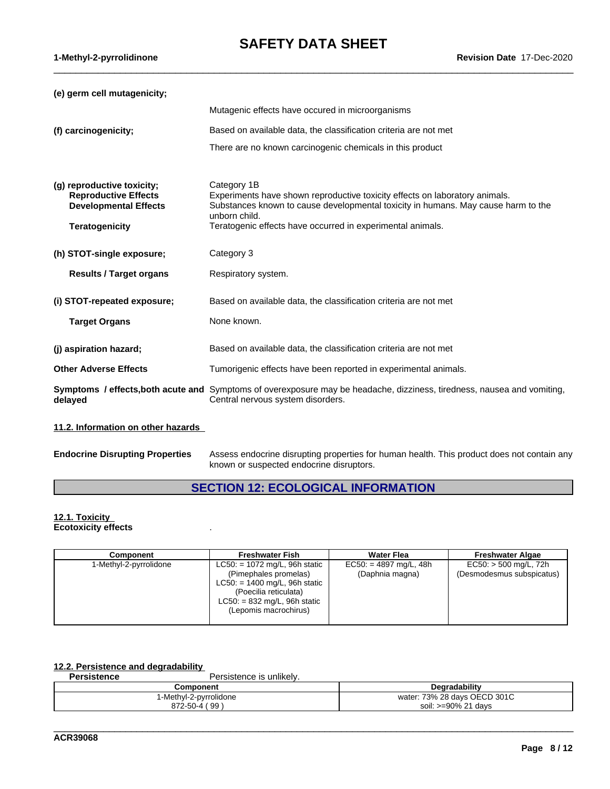$\_$  ,  $\_$  ,  $\_$  ,  $\_$  ,  $\_$  ,  $\_$  ,  $\_$  ,  $\_$  ,  $\_$  ,  $\_$  ,  $\_$  ,  $\_$  ,  $\_$  ,  $\_$  ,  $\_$  ,  $\_$  ,  $\_$  ,  $\_$  ,  $\_$  ,  $\_$  ,  $\_$  ,  $\_$  ,  $\_$  ,  $\_$  ,  $\_$  ,  $\_$  ,  $\_$  ,  $\_$  ,  $\_$  ,  $\_$  ,  $\_$  ,  $\_$  ,  $\_$  ,  $\_$  ,  $\_$  ,  $\_$  ,  $\_$  ,

**(e) germ cell mutagenicity;**

| (e) germ cen mutagemeny,                                                                                           |                                                                                                                                                                                                                                                                |
|--------------------------------------------------------------------------------------------------------------------|----------------------------------------------------------------------------------------------------------------------------------------------------------------------------------------------------------------------------------------------------------------|
|                                                                                                                    | Mutagenic effects have occured in microorganisms                                                                                                                                                                                                               |
| (f) carcinogenicity;                                                                                               | Based on available data, the classification criteria are not met                                                                                                                                                                                               |
|                                                                                                                    | There are no known carcinogenic chemicals in this product                                                                                                                                                                                                      |
| (g) reproductive toxicity;<br><b>Reproductive Effects</b><br><b>Developmental Effects</b><br><b>Teratogenicity</b> | Category 1B<br>Experiments have shown reproductive toxicity effects on laboratory animals.<br>Substances known to cause developmental toxicity in humans. May cause harm to the<br>unborn child.<br>Teratogenic effects have occurred in experimental animals. |
| (h) STOT-single exposure;                                                                                          | Category 3                                                                                                                                                                                                                                                     |
| <b>Results / Target organs</b>                                                                                     | Respiratory system.                                                                                                                                                                                                                                            |
| (i) STOT-repeated exposure;                                                                                        | Based on available data, the classification criteria are not met                                                                                                                                                                                               |
| <b>Target Organs</b>                                                                                               | None known.                                                                                                                                                                                                                                                    |
| (j) aspiration hazard;                                                                                             | Based on available data, the classification criteria are not met                                                                                                                                                                                               |
| <b>Other Adverse Effects</b>                                                                                       | Tumorigenic effects have been reported in experimental animals.                                                                                                                                                                                                |
| delayed                                                                                                            | <b>Symptoms / effects, both acute and</b> Symptoms of overexposure may be headache, dizziness, tiredness, nausea and vomiting,<br>Central nervous system disorders.                                                                                            |
|                                                                                                                    |                                                                                                                                                                                                                                                                |

### **11.2. Information on other hazards**

| <b>Endocrine Disrupting Properties</b> | Assess endocrine disrupting properties for human health. This product does not contain any |
|----------------------------------------|--------------------------------------------------------------------------------------------|
|                                        | known or suspected endocrine disruptors.                                                   |

### **SECTION 12: ECOLOGICAL INFORMATION**

#### **12.1. Toxicity Ecotoxicity effects** .

| Component              | <b>Freshwater Fish</b>                                                                                                                                                          | <b>Water Flea</b>                           | <b>Freshwater Algae</b>                              |
|------------------------|---------------------------------------------------------------------------------------------------------------------------------------------------------------------------------|---------------------------------------------|------------------------------------------------------|
| 1-Methyl-2-pyrrolidone | $LC50: = 1072$ mg/L, 96h static<br>(Pimephales promelas)<br>$LC50: = 1400$ mg/L, 96h static<br>(Poecilia reticulata)<br>$LC50: = 832$ mg/L, 96h static<br>(Lepomis macrochirus) | $EC50: = 4897$ mg/L, 48h<br>(Daphnia magna) | $EC50:$ > 500 mg/L, 72h<br>(Desmodesmus subspicatus) |

# **12.2. Persistence and degradability**

Persistence is unlikely.

| Component                                | Degradability                                           |
|------------------------------------------|---------------------------------------------------------|
| $\cdots$<br>2-pvrrolidone<br>l-Methyl-:  | <b>OECD 301C</b><br>28 davs<br>720/<br>water:<br>. J 70 |
| . 99<br>070<br>EΩ<br>י 4-∪ל-∠ <i>ו</i> ט | .೧೧ <sup>೦/.</sup> ೧1<br>davs<br>e∩i<br>וושכ<br>.JU     |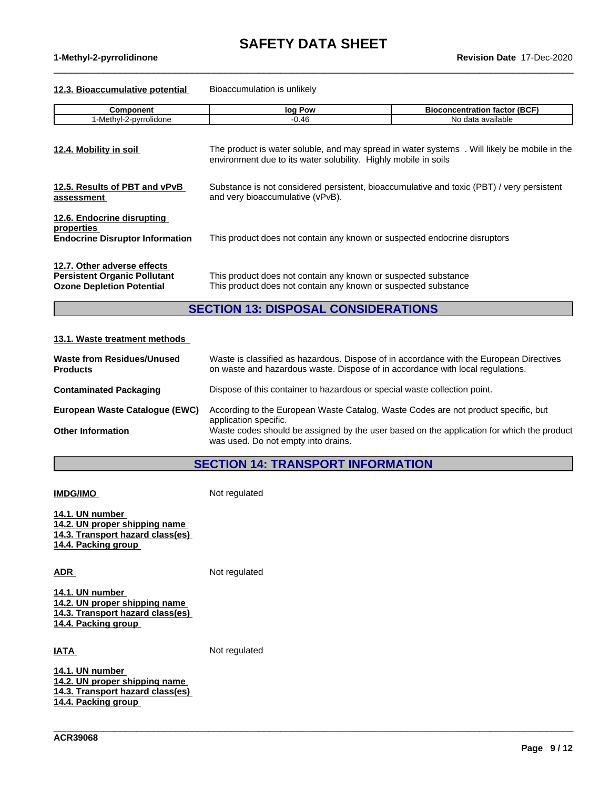$\_$  ,  $\_$  ,  $\_$  ,  $\_$  ,  $\_$  ,  $\_$  ,  $\_$  ,  $\_$  ,  $\_$  ,  $\_$  ,  $\_$  ,  $\_$  ,  $\_$  ,  $\_$  ,  $\_$  ,  $\_$  ,  $\_$  ,  $\_$  ,  $\_$  ,  $\_$  ,  $\_$  ,  $\_$  ,  $\_$  ,  $\_$  ,  $\_$  ,  $\_$  ,  $\_$  ,  $\_$  ,  $\_$  ,  $\_$  ,  $\_$  ,  $\_$  ,  $\_$  ,  $\_$  ,  $\_$  ,  $\_$  ,  $\_$  ,

**1-Methyl-2-pyrrolidinone Revision Date** 17-Dec-2020

#### **12.3. Bioaccumulative potential** Bioaccumulation is unlikely

| <b>Component</b>                                                                                       | log Pow                                                                                                                                                        | <b>Bioconcentration factor (BCF)</b> |  |  |  |  |  |  |
|--------------------------------------------------------------------------------------------------------|----------------------------------------------------------------------------------------------------------------------------------------------------------------|--------------------------------------|--|--|--|--|--|--|
| 1-Methyl-2-pyrrolidone                                                                                 | $-0.46$                                                                                                                                                        | No data available                    |  |  |  |  |  |  |
| 12.4. Mobility in soil                                                                                 | The product is water soluble, and may spread in water systems. Will likely be mobile in the<br>environment due to its water solubility. Highly mobile in soils |                                      |  |  |  |  |  |  |
| 12.5. Results of PBT and vPvB<br>assessment                                                            | Substance is not considered persistent, bioaccumulative and toxic (PBT) / very persistent<br>and very bioaccumulative (vPvB).                                  |                                      |  |  |  |  |  |  |
| 12.6. Endocrine disrupting<br>properties<br><b>Endocrine Disruptor Information</b>                     | This product does not contain any known or suspected endocrine disruptors                                                                                      |                                      |  |  |  |  |  |  |
| 12.7. Other adverse effects<br><b>Persistent Organic Pollutant</b><br><b>Ozone Depletion Potential</b> | This product does not contain any known or suspected substance<br>This product does not contain any known or suspected substance                               |                                      |  |  |  |  |  |  |

### **SECTION 13: DISPOSAL CONSIDERATIONS**

#### **13.1. Waste treatment methods**

| Waste from Residues/Unused<br><b>Products</b> | Waste is classified as hazardous. Dispose of in accordance with the European Directives<br>on waste and hazardous waste. Dispose of in accordance with local regulations. |
|-----------------------------------------------|---------------------------------------------------------------------------------------------------------------------------------------------------------------------------|
| <b>Contaminated Packaging</b>                 | Dispose of this container to hazardous or special waste collection point.                                                                                                 |
| European Waste Catalogue (EWC)                | According to the European Waste Catalog, Waste Codes are not product specific, but<br>application specific.                                                               |
| <b>Other Information</b>                      | Waste codes should be assigned by the user based on the application for which the product<br>was used. Do not empty into drains.                                          |

### **SECTION 14: TRANSPORT INFORMATION**

\_\_\_\_\_\_\_\_\_\_\_\_\_\_\_\_\_\_\_\_\_\_\_\_\_\_\_\_\_\_\_\_\_\_\_\_\_\_\_\_\_\_\_\_\_\_\_\_\_\_\_\_\_\_\_\_\_\_\_\_\_\_\_\_\_\_\_\_\_\_\_\_\_\_\_\_\_\_\_\_\_\_\_\_\_\_\_\_\_\_\_\_\_\_

**IMDG/IMO** Not regulated **14.1. UN number 14.2. UN proper shipping name**

**14.3. Transport hazard class(es) 14.4. Packing group**

ADR Not regulated

**14.1. UN number 14.2. UN proper shipping name 14.3. Transport hazard class(es) 14.4. Packing group**

**IATA** Not regulated

**14.1. UN number 14.2. UN proper shipping name 14.3. Transport hazard class(es) 14.4. Packing group**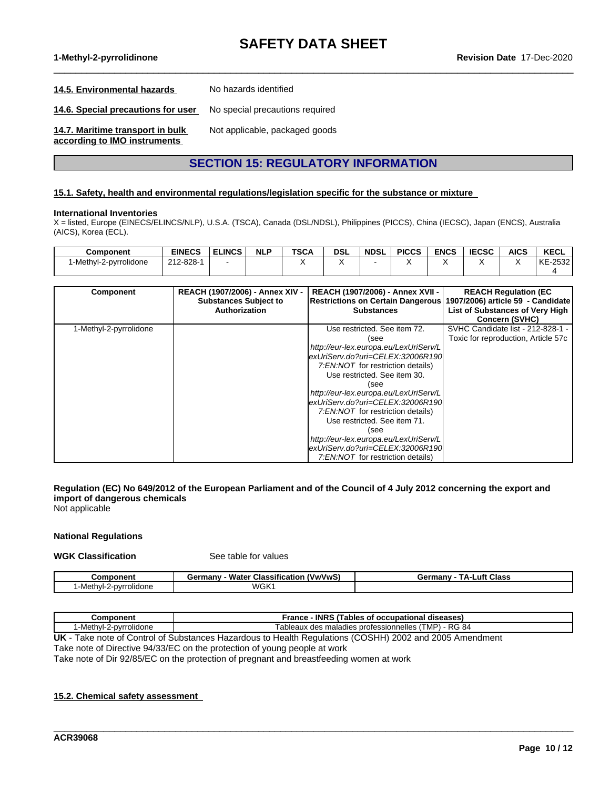$\_$  ,  $\_$  ,  $\_$  ,  $\_$  ,  $\_$  ,  $\_$  ,  $\_$  ,  $\_$  ,  $\_$  ,  $\_$  ,  $\_$  ,  $\_$  ,  $\_$  ,  $\_$  ,  $\_$  ,  $\_$  ,  $\_$  ,  $\_$  ,  $\_$  ,  $\_$  ,  $\_$  ,  $\_$  ,  $\_$  ,  $\_$  ,  $\_$  ,  $\_$  ,  $\_$  ,  $\_$  ,  $\_$  ,  $\_$  ,  $\_$  ,  $\_$  ,  $\_$  ,  $\_$  ,  $\_$  ,  $\_$  ,  $\_$  ,

**1-Methyl-2-pyrrolidinone Revision Date** 17-Dec-2020

#### **14.5. Environmental hazards** No hazards identified

**14.6. Special precautions for user** No special precautions required

**14.7. Maritime transport in bulk**

Not applicable, packaged goods

### **according to IMO instruments**

### **SECTION 15: REGULATORY INFORMATION**

#### **15.1. Safety, health and environmental regulations/legislation specific for the substance or mixture**

#### **International Inventories**

X = listed, Europe (EINECS/ELINCS/NLP), U.S.A. (TSCA), Canada (DSL/NDSL), Philippines (PICCS), China (IECSC), Japan (ENCS), Australia (AICS), Korea (ECL).

| Component              | <b>EINECS</b>   | <b>ELINCS</b> | <b>NLP</b> | <b>TSCA</b> | dsl | <b>NDSL</b> | <b>PICCS</b> | <b>ENCS</b> | rrcon<br>י יכטא | <b>AICS</b> | <b>KECL</b> |
|------------------------|-----------------|---------------|------------|-------------|-----|-------------|--------------|-------------|-----------------|-------------|-------------|
| 1-Methyl-2-pyrrolidone | $212 - 828 - 4$ |               |            |             |     |             |              |             |                 |             | KE-2532     |
|                        |                 |               |            |             |     |             |              |             |                 |             |             |

| Component              | REACH (1907/2006) - Annex XIV -<br><b>Substances Subject to</b><br><b>Authorization</b> | REACH (1907/2006) - Annex XVII -<br><b>Restrictions on Certain Dangerous</b><br><b>Substances</b>                                                                                                                                                                                                                                                                                                     | <b>REACH Regulation (EC)</b><br>1907/2006) article 59 - Candidate<br>List of Substances of Very High<br><b>Concern (SVHC)</b> |
|------------------------|-----------------------------------------------------------------------------------------|-------------------------------------------------------------------------------------------------------------------------------------------------------------------------------------------------------------------------------------------------------------------------------------------------------------------------------------------------------------------------------------------------------|-------------------------------------------------------------------------------------------------------------------------------|
| 1-Methyl-2-pyrrolidone |                                                                                         | Use restricted. See item 72.<br>(see<br>http://eur-lex.europa.eu/LexUriServ/L<br>lexUriServ.do?uri=CELEX:32006R190<br>7:EN: NOT for restriction details)<br>Use restricted. See item 30.<br>(see<br>http://eur-lex.europa.eu/LexUriServ/L<br>lexUriServ.do?uri=CELEX:32006R190<br>7:EN: NOT for restriction details)<br>Use restricted. See item 71.<br>(see<br>http://eur-lex.europa.eu/LexUriServ/L | SVHC Candidate list - 212-828-1 -<br>Toxic for reproduction, Article 57c                                                      |
|                        |                                                                                         | exUriServ.do?uri=CELEX:32006R190<br>7:EN:NOT for restriction details)                                                                                                                                                                                                                                                                                                                                 |                                                                                                                               |

### Regulation (EC) No 649/2012 of the European Parliament and of the Council of 4 July 2012 concerning the export and **import of dangerous chemicals**

Not applicable

#### **National Regulations**

#### **WGK Classification** See table for values

| Component                   | $\ddotsc$<br>Water<br><b>Classification</b><br>(VwVwS<br>Germany | ⊥uft<br>Class<br>Germany<br>. д. |
|-----------------------------|------------------------------------------------------------------|----------------------------------|
| I-Methvl-<br>e pyrrolidone? | WGK <sub>1</sub>                                                 |                                  |

| Component              | - INRS (Tables of occupational diseases)<br>France                                                                  |
|------------------------|---------------------------------------------------------------------------------------------------------------------|
| 1-Methvl-2-pvrrolidone | ) - RG 84<br>'TMP)<br>k des maladies professionnelles<br>ableaux                                                    |
| שוו                    | Toke pate of Control of Substances Hezerdous to Health Pequiptions (COSHH)<br><b>DOOD ond</b><br>$1.2005$ Amondmont |

\_\_\_\_\_\_\_\_\_\_\_\_\_\_\_\_\_\_\_\_\_\_\_\_\_\_\_\_\_\_\_\_\_\_\_\_\_\_\_\_\_\_\_\_\_\_\_\_\_\_\_\_\_\_\_\_\_\_\_\_\_\_\_\_\_\_\_\_\_\_\_\_\_\_\_\_\_\_\_\_\_\_\_\_\_\_\_\_\_\_\_\_\_\_

**UK** - Take note of Control of Substances Hazardous to Health Regulations (COSHH) 2002 and 2005 Amendment

Take note of Directive 94/33/EC on the protection of young people at work

Take note of Dir 92/85/EC on the protection of pregnant and breastfeeding women at work

#### **15.2. Chemical safety assessment**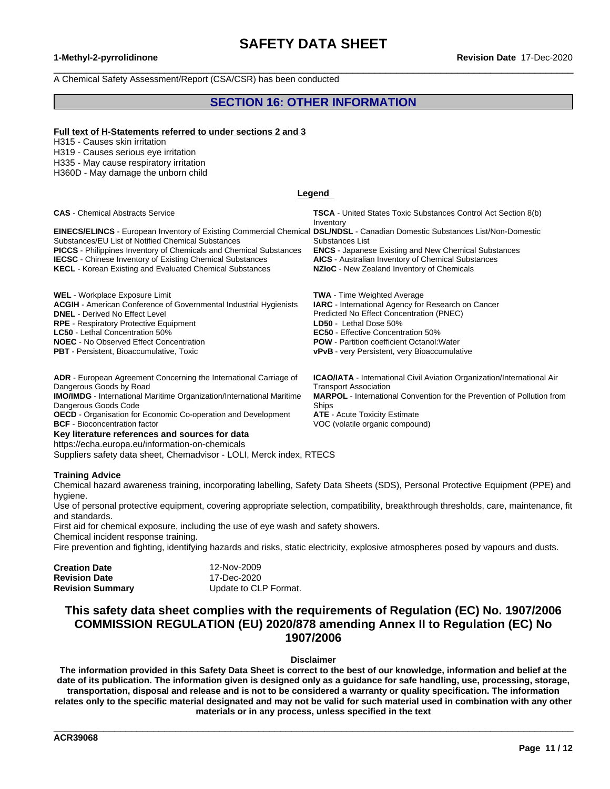$\_$  ,  $\_$  ,  $\_$  ,  $\_$  ,  $\_$  ,  $\_$  ,  $\_$  ,  $\_$  ,  $\_$  ,  $\_$  ,  $\_$  ,  $\_$  ,  $\_$  ,  $\_$  ,  $\_$  ,  $\_$  ,  $\_$  ,  $\_$  ,  $\_$  ,  $\_$  ,  $\_$  ,  $\_$  ,  $\_$  ,  $\_$  ,  $\_$  ,  $\_$  ,  $\_$  ,  $\_$  ,  $\_$  ,  $\_$  ,  $\_$  ,  $\_$  ,  $\_$  ,  $\_$  ,  $\_$  ,  $\_$  ,  $\_$  ,

A Chemical Safety Assessment/Report (CSA/CSR) has been conducted

### **SECTION 16: OTHER INFORMATION**

#### **Full text of H-Statements referred to undersections 2 and 3**

H315 - Causes skin irritation

H319 - Causes serious eye irritation

H335 - May cause respiratory irritation

H360D - May damage the unborn child

#### **Legend**

**CAS** - Chemical Abstracts Service **TSCA** - United States Toxic Substances Control Act Section 8(b) Inventory **EINECS/ELINCS** - European Inventory of Existing Commercial Chemical **DSL/NDSL** - Canadian Domestic Substances List/Non-Domestic Substances/EU List of Notified Chemical Substances Substances List **PICCS** - Philippines Inventory of Chemicals and Chemical Substances **ENCS** - Japanese Existing and New Chemical Substances **IECSC** - Chinese Inventory of Existing Chemical Substances **AICS** - Australian Inventory of Chemical Substances<br>**KECL** - Korean Existing and Evaluated Chemical Substances **NZIoC** - New Zealand Inventory of Chemicals **KECL** - Korean Existing and Evaluated Chemical Substances **WEL** - Workplace Exposure Limit **TWA** - Time Weighted Average **ACGIH** - American Conference of Governmental Industrial Hygienists **IARC** - International Agency for Research on Cancer **DNEL** - Derived No Effect Level<br> **RPE** - Respiratory Protective Equipment<br> **RPE** - Respiratory Protective Equipment<br> **RPE** - Respiratory Protective Equipment **RPE** - Respiratory Protective Equipment **LC50** - Lethal Concentration 50% **EC50** - Effective Concentration 50% **NOEC** - No Observed Effect Concentration **POW - Partition coefficient Octanol: Water PBT** - Persistent, Bioaccumulative, Toxic **very Property Property Persistent**, very Bioaccumulative **ADR** - European Agreement Concerning the International Carriage of Dangerous Goods by Road **ICAO/IATA** - International Civil Aviation Organization/International Air Transport Association **IMO/IMDG** - International Maritime Organization/International Maritime Dangerous Goods Code **MARPOL** - International Convention for the Prevention of Pollution from Ships

**OECD** - Organisation for Economic Co-operation and Development **ATE** - Acute Toxicity Estimate **BCF** - Bioconcentration factor **VOC** (volatile organic compound)

#### **Key literature references and sources for data**

https://echa.europa.eu/information-on-chemicals

Suppliers safety data sheet, Chemadvisor - LOLI, Merck index, RTECS

#### **Training Advice**

Chemical hazard awareness training, incorporating labelling, Safety Data Sheets (SDS), Personal Protective Equipment (PPE) and hygiene.

Use of personal protective equipment, covering appropriate selection, compatibility, breakthrough thresholds, care, maintenance, fit and standards.

First aid for chemical exposure, including the use of eye wash and safety showers.<br>Chemical incident response training.

Fire prevention and fighting, identifying hazards and risks, static electricity, explosive atmospheres posed by vapours and dusts.

| <b>Creation Date</b>    | 12-Nov-2009           |  |
|-------------------------|-----------------------|--|
| <b>Revision Date</b>    | 17-Dec-2020           |  |
| <b>Revision Summary</b> | Update to CLP Format. |  |

### **This safety data sheet complies with the requirements of Regulation (EC) No. 1907/2006 COMMISSION REGULATION (EU) 2020/878 amending Annex II to Regulation (EC) No 1907/2006**

### **Disclaimer**

The information provided in this Safety Data Sheet is correct to the best of our knowledge, information and belief at the date of its publication. The information given is designed only as a guidance for safe handling, use, processing, storage, transportation, disposal and release and is not to be considered a warranty or quality specification. The information relates only to the specific material designated and may not be valid for such material used in combination with any other **materials or in any process, unless specified in the text**